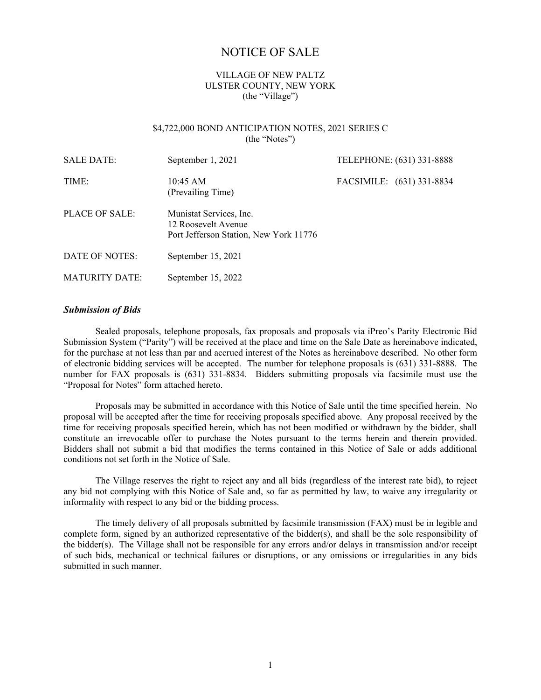# NOTICE OF SALE

# VILLAGE OF NEW PALTZ ULSTER COUNTY, NEW YORK (the "Village")

#### \$4,722,000 BOND ANTICIPATION NOTES, 2021 SERIES C (the "Notes")

| <b>SALE DATE:</b>     | September 1, 2021                                                                        | TELEPHONE: (631) 331-8888 |  |
|-----------------------|------------------------------------------------------------------------------------------|---------------------------|--|
| TIME:                 | $10:45 \text{ AM}$<br>(Prevailing Time)                                                  | FACSIMILE: (631) 331-8834 |  |
| PLACE OF SALE:        | Munistat Services, Inc.<br>12 Roosevelt Avenue<br>Port Jefferson Station, New York 11776 |                           |  |
| DATE OF NOTES:        | September 15, 2021                                                                       |                           |  |
| <b>MATURITY DATE:</b> | September 15, 2022                                                                       |                           |  |

#### *Submission of Bids*

Sealed proposals, telephone proposals, fax proposals and proposals via iPreo's Parity Electronic Bid Submission System ("Parity") will be received at the place and time on the Sale Date as hereinabove indicated, for the purchase at not less than par and accrued interest of the Notes as hereinabove described. No other form of electronic bidding services will be accepted. The number for telephone proposals is (631) 331-8888. The number for FAX proposals is (631) 331-8834. Bidders submitting proposals via facsimile must use the "Proposal for Notes" form attached hereto.

Proposals may be submitted in accordance with this Notice of Sale until the time specified herein. No proposal will be accepted after the time for receiving proposals specified above. Any proposal received by the time for receiving proposals specified herein, which has not been modified or withdrawn by the bidder, shall constitute an irrevocable offer to purchase the Notes pursuant to the terms herein and therein provided. Bidders shall not submit a bid that modifies the terms contained in this Notice of Sale or adds additional conditions not set forth in the Notice of Sale.

The Village reserves the right to reject any and all bids (regardless of the interest rate bid), to reject any bid not complying with this Notice of Sale and, so far as permitted by law, to waive any irregularity or informality with respect to any bid or the bidding process.

The timely delivery of all proposals submitted by facsimile transmission (FAX) must be in legible and complete form, signed by an authorized representative of the bidder(s), and shall be the sole responsibility of the bidder(s). The Village shall not be responsible for any errors and/or delays in transmission and/or receipt of such bids, mechanical or technical failures or disruptions, or any omissions or irregularities in any bids submitted in such manner.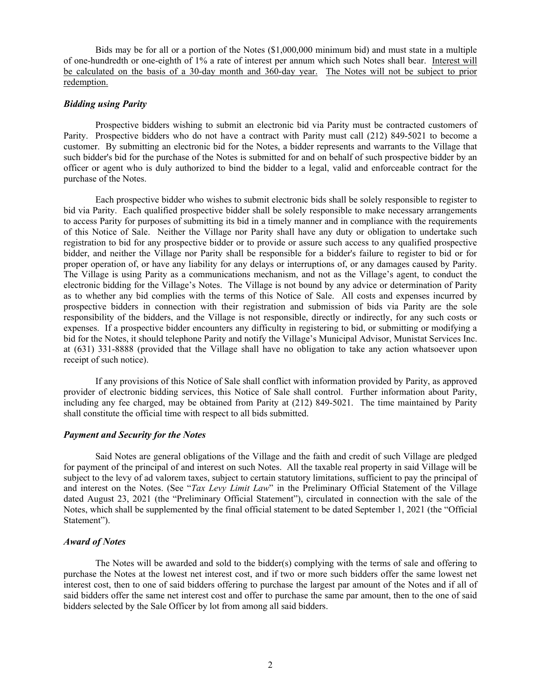Bids may be for all or a portion of the Notes (\$1,000,000 minimum bid) and must state in a multiple of one-hundredth or one-eighth of 1% a rate of interest per annum which such Notes shall bear. Interest will be calculated on the basis of a 30-day month and 360-day year. The Notes will not be subject to prior redemption.

# *Bidding using Parity*

Prospective bidders wishing to submit an electronic bid via Parity must be contracted customers of Parity. Prospective bidders who do not have a contract with Parity must call (212) 849-5021 to become a customer. By submitting an electronic bid for the Notes, a bidder represents and warrants to the Village that such bidder's bid for the purchase of the Notes is submitted for and on behalf of such prospective bidder by an officer or agent who is duly authorized to bind the bidder to a legal, valid and enforceable contract for the purchase of the Notes.

Each prospective bidder who wishes to submit electronic bids shall be solely responsible to register to bid via Parity. Each qualified prospective bidder shall be solely responsible to make necessary arrangements to access Parity for purposes of submitting its bid in a timely manner and in compliance with the requirements of this Notice of Sale. Neither the Village nor Parity shall have any duty or obligation to undertake such registration to bid for any prospective bidder or to provide or assure such access to any qualified prospective bidder, and neither the Village nor Parity shall be responsible for a bidder's failure to register to bid or for proper operation of, or have any liability for any delays or interruptions of, or any damages caused by Parity. The Village is using Parity as a communications mechanism, and not as the Village's agent, to conduct the electronic bidding for the Village's Notes. The Village is not bound by any advice or determination of Parity as to whether any bid complies with the terms of this Notice of Sale. All costs and expenses incurred by prospective bidders in connection with their registration and submission of bids via Parity are the sole responsibility of the bidders, and the Village is not responsible, directly or indirectly, for any such costs or expenses. If a prospective bidder encounters any difficulty in registering to bid, or submitting or modifying a bid for the Notes, it should telephone Parity and notify the Village's Municipal Advisor, Munistat Services Inc. at (631) 331-8888 (provided that the Village shall have no obligation to take any action whatsoever upon receipt of such notice).

If any provisions of this Notice of Sale shall conflict with information provided by Parity, as approved provider of electronic bidding services, this Notice of Sale shall control. Further information about Parity, including any fee charged, may be obtained from Parity at (212) 849-5021. The time maintained by Parity shall constitute the official time with respect to all bids submitted.

# *Payment and Security for the Notes*

Said Notes are general obligations of the Village and the faith and credit of such Village are pledged for payment of the principal of and interest on such Notes. All the taxable real property in said Village will be subject to the levy of ad valorem taxes, subject to certain statutory limitations, sufficient to pay the principal of and interest on the Notes. (See "*Tax Levy Limit Law*" in the Preliminary Official Statement of the Village dated August 23, 2021 (the "Preliminary Official Statement"), circulated in connection with the sale of the Notes, which shall be supplemented by the final official statement to be dated September 1, 2021 (the "Official Statement").

# *Award of Notes*

The Notes will be awarded and sold to the bidder(s) complying with the terms of sale and offering to purchase the Notes at the lowest net interest cost, and if two or more such bidders offer the same lowest net interest cost, then to one of said bidders offering to purchase the largest par amount of the Notes and if all of said bidders offer the same net interest cost and offer to purchase the same par amount, then to the one of said bidders selected by the Sale Officer by lot from among all said bidders.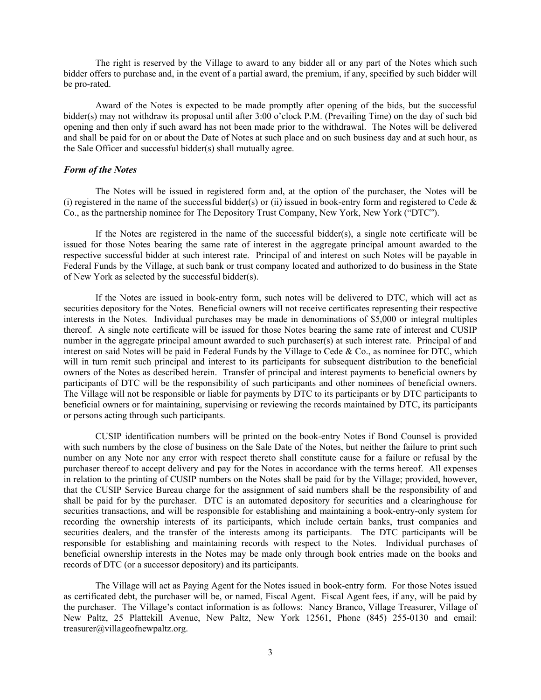The right is reserved by the Village to award to any bidder all or any part of the Notes which such bidder offers to purchase and, in the event of a partial award, the premium, if any, specified by such bidder will be pro-rated.

Award of the Notes is expected to be made promptly after opening of the bids, but the successful bidder(s) may not withdraw its proposal until after 3:00 o'clock P.M. (Prevailing Time) on the day of such bid opening and then only if such award has not been made prior to the withdrawal. The Notes will be delivered and shall be paid for on or about the Date of Notes at such place and on such business day and at such hour, as the Sale Officer and successful bidder(s) shall mutually agree.

#### *Form of the Notes*

The Notes will be issued in registered form and, at the option of the purchaser, the Notes will be (i) registered in the name of the successful bidder(s) or (ii) issued in book-entry form and registered to Cede  $\&$ Co., as the partnership nominee for The Depository Trust Company, New York, New York ("DTC").

If the Notes are registered in the name of the successful bidder(s), a single note certificate will be issued for those Notes bearing the same rate of interest in the aggregate principal amount awarded to the respective successful bidder at such interest rate. Principal of and interest on such Notes will be payable in Federal Funds by the Village, at such bank or trust company located and authorized to do business in the State of New York as selected by the successful bidder(s).

If the Notes are issued in book-entry form, such notes will be delivered to DTC, which will act as securities depository for the Notes. Beneficial owners will not receive certificates representing their respective interests in the Notes. Individual purchases may be made in denominations of \$5,000 or integral multiples thereof. A single note certificate will be issued for those Notes bearing the same rate of interest and CUSIP number in the aggregate principal amount awarded to such purchaser(s) at such interest rate. Principal of and interest on said Notes will be paid in Federal Funds by the Village to Cede & Co., as nominee for DTC, which will in turn remit such principal and interest to its participants for subsequent distribution to the beneficial owners of the Notes as described herein. Transfer of principal and interest payments to beneficial owners by participants of DTC will be the responsibility of such participants and other nominees of beneficial owners. The Village will not be responsible or liable for payments by DTC to its participants or by DTC participants to beneficial owners or for maintaining, supervising or reviewing the records maintained by DTC, its participants or persons acting through such participants.

CUSIP identification numbers will be printed on the book-entry Notes if Bond Counsel is provided with such numbers by the close of business on the Sale Date of the Notes, but neither the failure to print such number on any Note nor any error with respect thereto shall constitute cause for a failure or refusal by the purchaser thereof to accept delivery and pay for the Notes in accordance with the terms hereof. All expenses in relation to the printing of CUSIP numbers on the Notes shall be paid for by the Village; provided, however, that the CUSIP Service Bureau charge for the assignment of said numbers shall be the responsibility of and shall be paid for by the purchaser. DTC is an automated depository for securities and a clearinghouse for securities transactions, and will be responsible for establishing and maintaining a book-entry-only system for recording the ownership interests of its participants, which include certain banks, trust companies and securities dealers, and the transfer of the interests among its participants. The DTC participants will be responsible for establishing and maintaining records with respect to the Notes. Individual purchases of beneficial ownership interests in the Notes may be made only through book entries made on the books and records of DTC (or a successor depository) and its participants.

The Village will act as Paying Agent for the Notes issued in book-entry form. For those Notes issued as certificated debt, the purchaser will be, or named, Fiscal Agent. Fiscal Agent fees, if any, will be paid by the purchaser. The Village's contact information is as follows: Nancy Branco, Village Treasurer, Village of New Paltz, 25 Plattekill Avenue, New Paltz, New York 12561, Phone (845) 255-0130 and email: treasurer@villageofnewpaltz.org.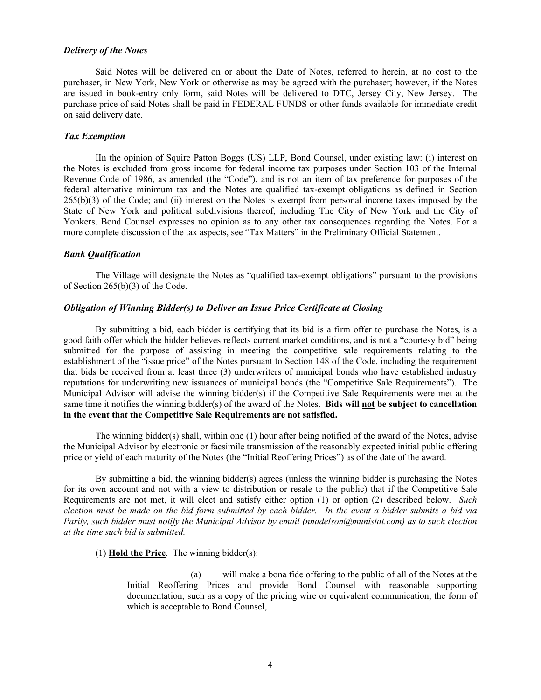#### *Delivery of the Notes*

Said Notes will be delivered on or about the Date of Notes, referred to herein, at no cost to the purchaser, in New York, New York or otherwise as may be agreed with the purchaser; however, if the Notes are issued in book-entry only form, said Notes will be delivered to DTC, Jersey City, New Jersey. The purchase price of said Notes shall be paid in FEDERAL FUNDS or other funds available for immediate credit on said delivery date.

# *Tax Exemption*

IIn the opinion of Squire Patton Boggs (US) LLP, Bond Counsel, under existing law: (i) interest on the Notes is excluded from gross income for federal income tax purposes under Section 103 of the Internal Revenue Code of 1986, as amended (the "Code"), and is not an item of tax preference for purposes of the federal alternative minimum tax and the Notes are qualified tax-exempt obligations as defined in Section 265(b)(3) of the Code; and (ii) interest on the Notes is exempt from personal income taxes imposed by the State of New York and political subdivisions thereof, including The City of New York and the City of Yonkers. Bond Counsel expresses no opinion as to any other tax consequences regarding the Notes. For a more complete discussion of the tax aspects, see "Tax Matters" in the Preliminary Official Statement.

#### *Bank Qualification*

The Village will designate the Notes as "qualified tax-exempt obligations" pursuant to the provisions of Section 265(b)(3) of the Code.

#### *Obligation of Winning Bidder(s) to Deliver an Issue Price Certificate at Closing*

By submitting a bid, each bidder is certifying that its bid is a firm offer to purchase the Notes, is a good faith offer which the bidder believes reflects current market conditions, and is not a "courtesy bid" being submitted for the purpose of assisting in meeting the competitive sale requirements relating to the establishment of the "issue price" of the Notes pursuant to Section 148 of the Code, including the requirement that bids be received from at least three (3) underwriters of municipal bonds who have established industry reputations for underwriting new issuances of municipal bonds (the "Competitive Sale Requirements"). The Municipal Advisor will advise the winning bidder(s) if the Competitive Sale Requirements were met at the same time it notifies the winning bidder(s) of the award of the Notes. **Bids will not be subject to cancellation in the event that the Competitive Sale Requirements are not satisfied.**

The winning bidder(s) shall, within one (1) hour after being notified of the award of the Notes, advise the Municipal Advisor by electronic or facsimile transmission of the reasonably expected initial public offering price or yield of each maturity of the Notes (the "Initial Reoffering Prices") as of the date of the award.

By submitting a bid, the winning bidder(s) agrees (unless the winning bidder is purchasing the Notes for its own account and not with a view to distribution or resale to the public) that if the Competitive Sale Requirements are not met, it will elect and satisfy either option (1) or option (2) described below. *Such election must be made on the bid form submitted by each bidder. In the event a bidder submits a bid via Parity, such bidder must notify the Municipal Advisor by email (nnadelson@munistat.com) as to such election at the time such bid is submitted.* 

(1) **Hold the Price**. The winning bidder(s):

(a) will make a bona fide offering to the public of all of the Notes at the Initial Reoffering Prices and provide Bond Counsel with reasonable supporting documentation, such as a copy of the pricing wire or equivalent communication, the form of which is acceptable to Bond Counsel,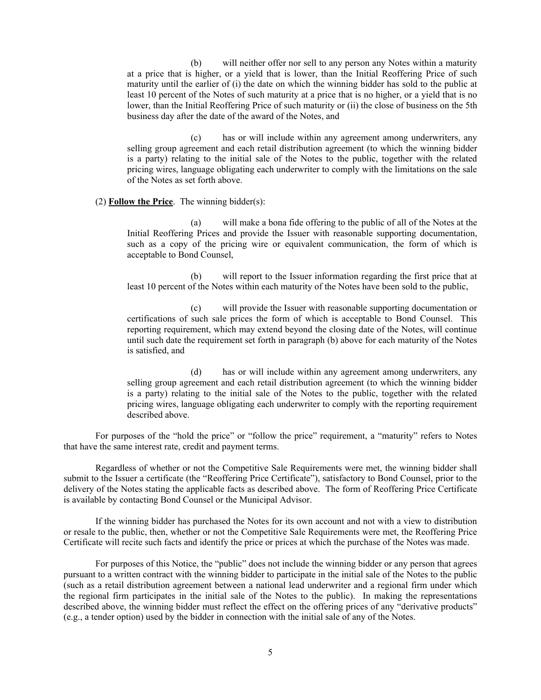(b) will neither offer nor sell to any person any Notes within a maturity at a price that is higher, or a yield that is lower, than the Initial Reoffering Price of such maturity until the earlier of (i) the date on which the winning bidder has sold to the public at least 10 percent of the Notes of such maturity at a price that is no higher, or a yield that is no lower, than the Initial Reoffering Price of such maturity or (ii) the close of business on the 5th business day after the date of the award of the Notes, and

(c) has or will include within any agreement among underwriters, any selling group agreement and each retail distribution agreement (to which the winning bidder is a party) relating to the initial sale of the Notes to the public, together with the related pricing wires, language obligating each underwriter to comply with the limitations on the sale of the Notes as set forth above.

### (2) **Follow the Price**. The winning bidder(s):

(a) will make a bona fide offering to the public of all of the Notes at the Initial Reoffering Prices and provide the Issuer with reasonable supporting documentation, such as a copy of the pricing wire or equivalent communication, the form of which is acceptable to Bond Counsel,

(b) will report to the Issuer information regarding the first price that at least 10 percent of the Notes within each maturity of the Notes have been sold to the public,

(c) will provide the Issuer with reasonable supporting documentation or certifications of such sale prices the form of which is acceptable to Bond Counsel. This reporting requirement, which may extend beyond the closing date of the Notes, will continue until such date the requirement set forth in paragraph (b) above for each maturity of the Notes is satisfied, and

(d) has or will include within any agreement among underwriters, any selling group agreement and each retail distribution agreement (to which the winning bidder is a party) relating to the initial sale of the Notes to the public, together with the related pricing wires, language obligating each underwriter to comply with the reporting requirement described above.

For purposes of the "hold the price" or "follow the price" requirement, a "maturity" refers to Notes that have the same interest rate, credit and payment terms.

Regardless of whether or not the Competitive Sale Requirements were met, the winning bidder shall submit to the Issuer a certificate (the "Reoffering Price Certificate"), satisfactory to Bond Counsel, prior to the delivery of the Notes stating the applicable facts as described above. The form of Reoffering Price Certificate is available by contacting Bond Counsel or the Municipal Advisor.

If the winning bidder has purchased the Notes for its own account and not with a view to distribution or resale to the public, then, whether or not the Competitive Sale Requirements were met, the Reoffering Price Certificate will recite such facts and identify the price or prices at which the purchase of the Notes was made.

For purposes of this Notice, the "public" does not include the winning bidder or any person that agrees pursuant to a written contract with the winning bidder to participate in the initial sale of the Notes to the public (such as a retail distribution agreement between a national lead underwriter and a regional firm under which the regional firm participates in the initial sale of the Notes to the public). In making the representations described above, the winning bidder must reflect the effect on the offering prices of any "derivative products" (e.g., a tender option) used by the bidder in connection with the initial sale of any of the Notes.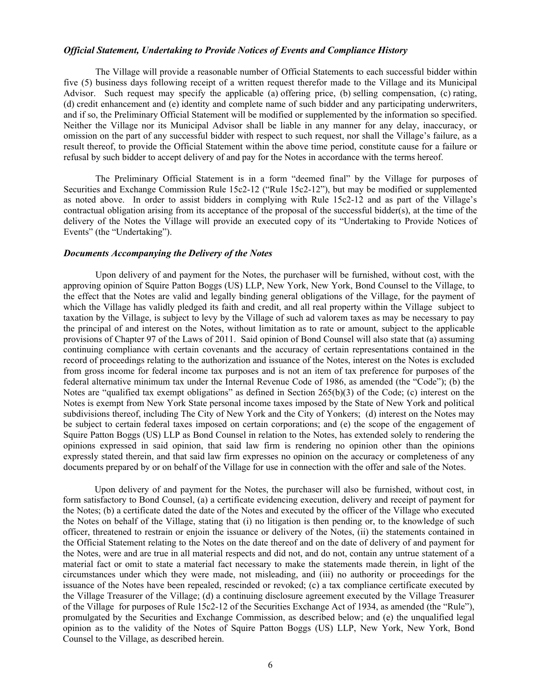#### *Official Statement, Undertaking to Provide Notices of Events and Compliance History*

The Village will provide a reasonable number of Official Statements to each successful bidder within five (5) business days following receipt of a written request therefor made to the Village and its Municipal Advisor. Such request may specify the applicable (a) offering price, (b) selling compensation, (c) rating, (d) credit enhancement and (e) identity and complete name of such bidder and any participating underwriters, and if so, the Preliminary Official Statement will be modified or supplemented by the information so specified. Neither the Village nor its Municipal Advisor shall be liable in any manner for any delay, inaccuracy, or omission on the part of any successful bidder with respect to such request, nor shall the Village's failure, as a result thereof, to provide the Official Statement within the above time period, constitute cause for a failure or refusal by such bidder to accept delivery of and pay for the Notes in accordance with the terms hereof.

The Preliminary Official Statement is in a form "deemed final" by the Village for purposes of Securities and Exchange Commission Rule 15c2-12 ("Rule 15c2-12"), but may be modified or supplemented as noted above. In order to assist bidders in complying with Rule 15c2-12 and as part of the Village's contractual obligation arising from its acceptance of the proposal of the successful bidder(s), at the time of the delivery of the Notes the Village will provide an executed copy of its "Undertaking to Provide Notices of Events" (the "Undertaking").

#### *Documents Accompanying the Delivery of the Notes*

 Upon delivery of and payment for the Notes, the purchaser will be furnished, without cost, with the approving opinion of Squire Patton Boggs (US) LLP, New York, New York, Bond Counsel to the Village, to the effect that the Notes are valid and legally binding general obligations of the Village, for the payment of which the Village has validly pledged its faith and credit, and all real property within the Village subject to taxation by the Village, is subject to levy by the Village of such ad valorem taxes as may be necessary to pay the principal of and interest on the Notes, without limitation as to rate or amount, subject to the applicable provisions of Chapter 97 of the Laws of 2011. Said opinion of Bond Counsel will also state that (a) assuming continuing compliance with certain covenants and the accuracy of certain representations contained in the record of proceedings relating to the authorization and issuance of the Notes, interest on the Notes is excluded from gross income for federal income tax purposes and is not an item of tax preference for purposes of the federal alternative minimum tax under the Internal Revenue Code of 1986, as amended (the "Code"); (b) the Notes are "qualified tax exempt obligations" as defined in Section 265(b)(3) of the Code; (c) interest on the Notes is exempt from New York State personal income taxes imposed by the State of New York and political subdivisions thereof, including The City of New York and the City of Yonkers; (d) interest on the Notes may be subject to certain federal taxes imposed on certain corporations; and (e) the scope of the engagement of Squire Patton Boggs (US) LLP as Bond Counsel in relation to the Notes, has extended solely to rendering the opinions expressed in said opinion, that said law firm is rendering no opinion other than the opinions expressly stated therein, and that said law firm expresses no opinion on the accuracy or completeness of any documents prepared by or on behalf of the Village for use in connection with the offer and sale of the Notes.

Upon delivery of and payment for the Notes, the purchaser will also be furnished, without cost, in form satisfactory to Bond Counsel, (a) a certificate evidencing execution, delivery and receipt of payment for the Notes; (b) a certificate dated the date of the Notes and executed by the officer of the Village who executed the Notes on behalf of the Village, stating that (i) no litigation is then pending or, to the knowledge of such officer, threatened to restrain or enjoin the issuance or delivery of the Notes, (ii) the statements contained in the Official Statement relating to the Notes on the date thereof and on the date of delivery of and payment for the Notes, were and are true in all material respects and did not, and do not, contain any untrue statement of a material fact or omit to state a material fact necessary to make the statements made therein, in light of the circumstances under which they were made, not misleading, and (iii) no authority or proceedings for the issuance of the Notes have been repealed, rescinded or revoked; (c) a tax compliance certificate executed by the Village Treasurer of the Village; (d) a continuing disclosure agreement executed by the Village Treasurer of the Village for purposes of Rule 15c2-12 of the Securities Exchange Act of 1934, as amended (the "Rule"), promulgated by the Securities and Exchange Commission, as described below; and (e) the unqualified legal opinion as to the validity of the Notes of Squire Patton Boggs (US) LLP, New York, New York, Bond Counsel to the Village, as described herein.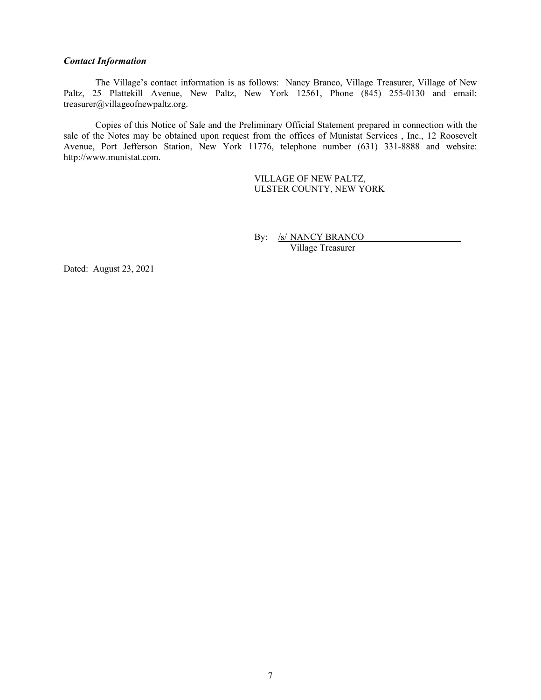# *Contact Information*

The Village's contact information is as follows: Nancy Branco, Village Treasurer, Village of New Paltz, 25 Plattekill Avenue, New Paltz, New York 12561, Phone (845) 255-0130 and email: treasurer@villageofnewpaltz.org.

Copies of this Notice of Sale and the Preliminary Official Statement prepared in connection with the sale of the Notes may be obtained upon request from the offices of Munistat Services , Inc., 12 Roosevelt Avenue, Port Jefferson Station, New York 11776, telephone number (631) 331-8888 and website: http://www.munistat.com.

> VILLAGE OF NEW PALTZ, ULSTER COUNTY, NEW YORK

By: /s/ NANCY BRANCO

Village Treasurer

Dated: August 23, 2021